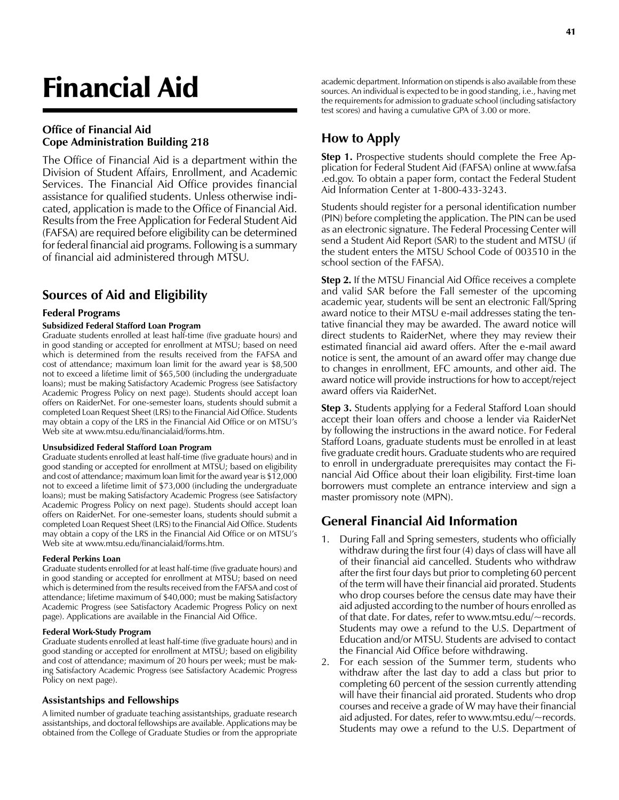# Financial Aid

# **Office of Financial Aid Cope Administration Building 218**

The Office of Financial Aid is a department within the Division of Student Affairs, Enrollment, and Academic Services. The Financial Aid Office provides financial assistance for qualified students. Unless otherwise indicated, application is made to the Office of Financial Aid. Results from the Free Application for Federal Student Aid (FAFSA) are required before eligibility can be determined for federal financial aid programs. Following is a summary of financial aid administered through MTSU.

# **Sources of Aid and Eligibility**

## **Federal Programs**

### **Subsidized Federal Stafford Loan Program**

Graduate students enrolled at least half-time (five graduate hours) and in good standing or accepted for enrollment at MTSU; based on need which is determined from the results received from the FAFSA and cost of attendance; maximum loan limit for the award year is \$8,500 not to exceed a lifetime limit of \$65,500 (including the undergraduate loans); must be making Satisfactory Academic Progress (see Satisfactory Academic Progress Policy on next page). Students should accept loan offers on RaiderNet. For one-semester loans, students should submit a completed Loan Request Sheet (LRS) to the Financial Aid Office. Students may obtain a copy of the LRS in the Financial Aid Office or on MTSU's Web site at www.mtsu.edu/financialaid/forms.htm.

#### **Unsubsidized Federal Stafford Loan Program**

Graduate students enrolled at least half-time (five graduate hours) and in good standing or accepted for enrollment at MTSU; based on eligibility and cost of attendance; maximum loan limit for the award year is \$12,000 not to exceed a lifetime limit of \$73,000 (including the undergraduate loans); must be making Satisfactory Academic Progress (see Satisfactory Academic Progress Policy on next page). Students should accept loan offers on RaiderNet. For one-semester loans, students should submit a completed Loan Request Sheet (LRS) to the Financial Aid Office. Students may obtain a copy of the LRS in the Financial Aid Office or on MTSU's Web site at www.mtsu.edu/financialaid/forms.htm.

#### **Federal Perkins Loan**

Graduate students enrolled for at least half-time (five graduate hours) and in good standing or accepted for enrollment at MTSU; based on need which is determined from the results received from the FAFSA and cost of attendance; lifetime maximum of \$40,000; must be making Satisfactory Academic Progress (see Satisfactory Academic Progress Policy on next page). Applications are available in the Financial Aid Office.

#### **Federal Work-Study Program**

Graduate students enrolled at least half-time (five graduate hours) and in good standing or accepted for enrollment at MTSU; based on eligibility and cost of attendance; maximum of 20 hours per week; must be making Satisfactory Academic Progress (see Satisfactory Academic Progress Policy on next page).

### **Assistantships and Fellowships**

A limited number of graduate teaching assistantships, graduate research assistantships, and doctoral fellowships are available. Applications may be obtained from the College of Graduate Studies or from the appropriate academic department. Information on stipends is also available from these sources. An individual is expected to be in good standing, i.e., having met the requirements for admission to graduate school (including satisfactory test scores) and having a cumulative GPA of 3.00 or more.

# **How to Apply**

**Step 1.** Prospective students should complete the Free Application for Federal Student Aid (FAFSA) online at www.fafsa .ed.gov. To obtain a paper form, contact the Federal Student Aid Information Center at 1-800-433-3243.

Students should register for a personal identification number (PIN) before completing the application. The PIN can be used as an electronic signature. The Federal Processing Center will send a Student Aid Report (SAR) to the student and MTSU (if the student enters the MTSU School Code of 003510 in the school section of the FAFSA).

**Step 2.** If the MTSU Financial Aid Office receives a complete and valid SAR before the Fall semester of the upcoming academic year, students will be sent an electronic Fall/Spring award notice to their MTSU e-mail addresses stating the tentative financial they may be awarded. The award notice will direct students to RaiderNet, where they may review their estimated financial aid award offers. After the e-mail award notice is sent, the amount of an award offer may change due to changes in enrollment, EFC amounts, and other aid. The award notice will provide instructions for how to accept/reject award offers via RaiderNet.

**Step 3.** Students applying for a Federal Stafford Loan should accept their loan offers and choose a lender via RaiderNet by following the instructions in the award notice. For Federal Stafford Loans, graduate students must be enrolled in at least five graduate credit hours. Graduate students who are required to enroll in undergraduate prerequisites may contact the Financial Aid Office about their loan eligibility. First-time loan borrowers must complete an entrance interview and sign a master promissory note (MPN).

# **General Financial Aid Information**

- 1. During Fall and Spring semesters, students who officially withdraw during the first four (4) days of class will have all of their financial aid cancelled. Students who withdraw after the first four days but prior to completing 60 percent of the term will have their financial aid prorated. Students who drop courses before the census date may have their aid adjusted according to the number of hours enrolled as of that date. For dates, refer to www.mtsu.edu/~records. Students may owe a refund to the U.S. Department of Education and/or MTSU. Students are advised to contact the Financial Aid Office before withdrawing.
- 2. For each session of the Summer term, students who withdraw after the last day to add a class but prior to completing 60 percent of the session currently attending will have their financial aid prorated. Students who drop courses and receive a grade of W may have their financial aid adjusted. For dates, refer to www.mtsu.edu/~records. Students may owe a refund to the U.S. Department of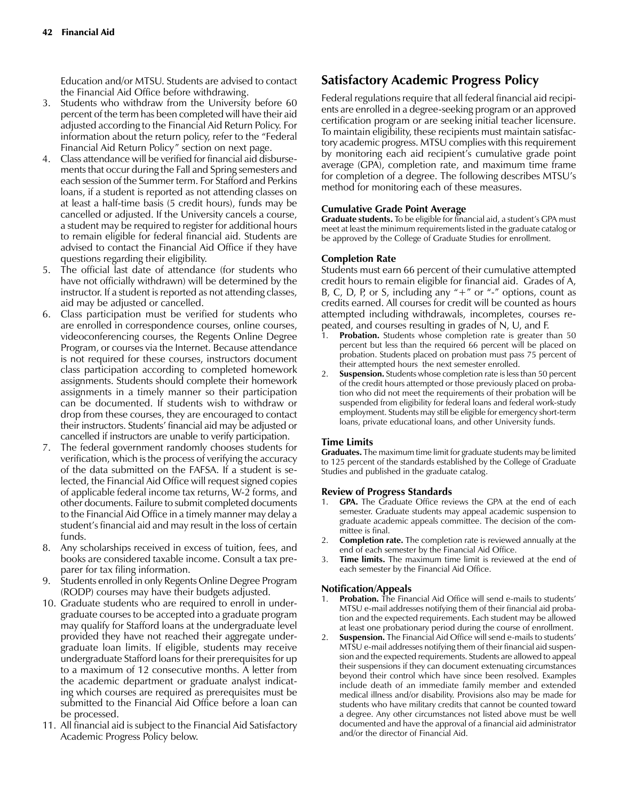Education and/or MTSU. Students are advised to contact the Financial Aid Office before withdrawing.

- 3. Students who withdraw from the University before 60 percent of the term has been completed will have their aid adjusted according to the Financial Aid Return Policy. For information about the return policy, refer to the "Federal Financial Aid Return Policy" section on next page.
- 4. Class attendance will be verified for financial aid disbursements that occur during the Fall and Spring semesters and each session of the Summer term. For Stafford and Perkins loans, if a student is reported as not attending classes on at least a half-time basis (5 credit hours), funds may be cancelled or adjusted. If the University cancels a course, a student may be required to register for additional hours to remain eligible for federal financial aid. Students are advised to contact the Financial Aid Office if they have questions regarding their eligibility.
- 5. The official last date of attendance (for students who have not officially withdrawn) will be determined by the instructor. If a student is reported as not attending classes, aid may be adjusted or cancelled.
- 6. Class participation must be verified for students who are enrolled in correspondence courses, online courses, videoconferencing courses, the Regents Online Degree Program, or courses via the Internet. Because attendance is not required for these courses, instructors document class participation according to completed homework assignments. Students should complete their homework assignments in a timely manner so their participation can be documented. If students wish to withdraw or drop from these courses, they are encouraged to contact their instructors. Students' financial aid may be adjusted or cancelled if instructors are unable to verify participation.
- 7. The federal government randomly chooses students for verification, which is the process of verifying the accuracy of the data submitted on the FAFSA. If a student is selected, the Financial Aid Office will request signed copies of applicable federal income tax returns, W-2 forms, and other documents. Failure to submit completed documents to the Financial Aid Office in a timely manner may delay a student's financial aid and may result in the loss of certain funds.
- 8. Any scholarships received in excess of tuition, fees, and books are considered taxable income. Consult a tax preparer for tax filing information.
- 9. Students enrolled in only Regents Online Degree Program (RODP) courses may have their budgets adjusted.
- 10. Graduate students who are required to enroll in undergraduate courses to be accepted into a graduate program may qualify for Stafford loans at the undergraduate level provided they have not reached their aggregate undergraduate loan limits. If eligible, students may receive undergraduate Stafford loans for their prerequisites for up to a maximum of 12 consecutive months. A letter from the academic department or graduate analyst indicating which courses are required as prerequisites must be submitted to the Financial Aid Office before a loan can be processed.
- 11. All financial aid is subject to the Financial Aid Satisfactory Academic Progress Policy below.

# **Satisfactory Academic Progress Policy**

Federal regulations require that all federal financial aid recipients are enrolled in a degree-seeking program or an approved certification program or are seeking initial teacher licensure. To maintain eligibility, these recipients must maintain satisfactory academic progress. MTSU complies with this requirement by monitoring each aid recipient's cumulative grade point average (GPA), completion rate, and maximum time frame for completion of a degree. The following describes MTSU's method for monitoring each of these measures.

## **Cumulative Grade Point Average**

**Graduate students.** To be eligible for financial aid, a student's GPA must meet at least the minimum requirements listed in the graduate catalog or be approved by the College of Graduate Studies for enrollment.

## **Completion Rate**

Students must earn 66 percent of their cumulative attempted credit hours to remain eligible for financial aid. Grades of A, B, C, D, P, or S, including any " $+$ " or "-" options, count as credits earned. All courses for credit will be counted as hours attempted including withdrawals, incompletes, courses repeated, and courses resulting in grades of N, U, and F.

- 1. **Probation.** Students whose completion rate is greater than 50 percent but less than the required 66 percent will be placed on probation. Students placed on probation must pass 75 percent of their attempted hours the next semester enrolled.
- 2. **Suspension.** Students whose completion rate is less than 50 percent of the credit hours attempted or those previously placed on probation who did not meet the requirements of their probation will be suspended from eligibility for federal loans and federal work-study employment. Students may still be eligible for emergency short-term loans, private educational loans, and other University funds.

# **Time Limits**

**Graduates.** The maximum time limit for graduate students may be limited to 125 percent of the standards established by the College of Graduate Studies and published in the graduate catalog.

## **Review of Progress Standards**

- 1. **GPA.** The Graduate Office reviews the GPA at the end of each semester. Graduate students may appeal academic suspension to graduate academic appeals committee. The decision of the committee is final.
- 2. **Completion rate.** The completion rate is reviewed annually at the end of each semester by the Financial Aid Office.
- Time limits. The maximum time limit is reviewed at the end of each semester by the Financial Aid Office.

# **Notification/Appeals**

- Probation. The Financial Aid Office will send e-mails to students' MTSU e-mail addresses notifying them of their financial aid probation and the expected requirements. Each student may be allowed at least one probationary period during the course of enrollment.
- **Suspension.** The Financial Aid Office will send e-mails to students' MTSU e-mail addresses notifying them of their financial aid suspension and the expected requirements. Students are allowed to appeal their suspensions if they can document extenuating circumstances beyond their control which have since been resolved. Examples include death of an immediate family member and extended medical illness and/or disability. Provisions also may be made for students who have military credits that cannot be counted toward a degree. Any other circumstances not listed above must be well documented and have the approval of a financial aid administrator and/or the director of Financial Aid.